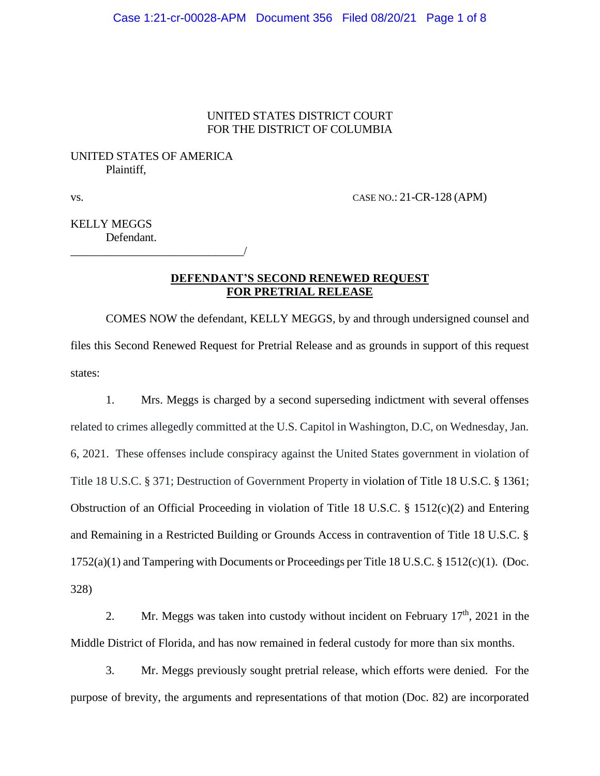### UNITED STATES DISTRICT COURT FOR THE DISTRICT OF COLUMBIA

## UNITED STATES OF AMERICA Plaintiff,

\_\_\_\_\_\_\_\_\_\_\_\_\_\_\_\_\_\_\_\_\_\_\_\_\_\_\_\_\_\_/

vs. CASE NO.: 21-CR-128 (APM)

KELLY MEGGS Defendant.

### **DEFENDANT'S SECOND RENEWED REQUEST FOR PRETRIAL RELEASE**

COMES NOW the defendant, KELLY MEGGS, by and through undersigned counsel and files this Second Renewed Request for Pretrial Release and as grounds in support of this request states:

1. Mrs. Meggs is charged by a second superseding indictment with several offenses related to crimes allegedly committed at the U.S. Capitol in Washington, D.C, on Wednesday, Jan. 6, 2021. These offenses include conspiracy against the United States government in violation of Title 18 U.S.C. § 371; Destruction of Government Property in violation of Title 18 U.S.C. § 1361; Obstruction of an Official Proceeding in violation of Title 18 U.S.C. § 1512(c)(2) and Entering and Remaining in a Restricted Building or Grounds Access in contravention of Title 18 U.S.C. § 1752(a)(1) and Tampering with Documents or Proceedings per Title 18 U.S.C. § 1512(c)(1). (Doc. 328)

2. Mr. Meggs was taken into custody without incident on February  $17<sup>th</sup>$ , 2021 in the Middle District of Florida, and has now remained in federal custody for more than six months.

3. Mr. Meggs previously sought pretrial release, which efforts were denied. For the purpose of brevity, the arguments and representations of that motion (Doc. 82) are incorporated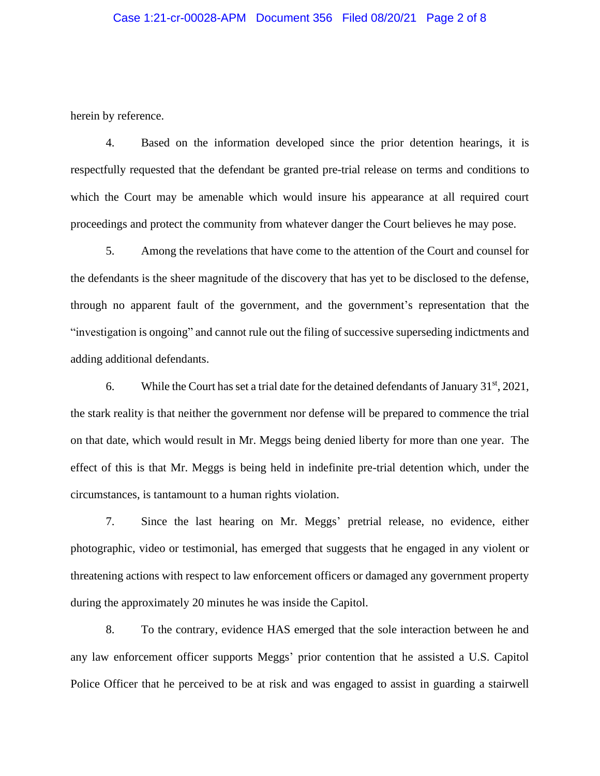#### Case 1:21-cr-00028-APM Document 356 Filed 08/20/21 Page 2 of 8

herein by reference.

4. Based on the information developed since the prior detention hearings, it is respectfully requested that the defendant be granted pre-trial release on terms and conditions to which the Court may be amenable which would insure his appearance at all required court proceedings and protect the community from whatever danger the Court believes he may pose.

5. Among the revelations that have come to the attention of the Court and counsel for the defendants is the sheer magnitude of the discovery that has yet to be disclosed to the defense, through no apparent fault of the government, and the government's representation that the "investigation is ongoing" and cannot rule out the filing of successive superseding indictments and adding additional defendants.

6. While the Court has set a trial date for the detained defendants of January  $31<sup>st</sup>$ ,  $2021$ , the stark reality is that neither the government nor defense will be prepared to commence the trial on that date, which would result in Mr. Meggs being denied liberty for more than one year. The effect of this is that Mr. Meggs is being held in indefinite pre-trial detention which, under the circumstances, is tantamount to a human rights violation.

7. Since the last hearing on Mr. Meggs' pretrial release, no evidence, either photographic, video or testimonial, has emerged that suggests that he engaged in any violent or threatening actions with respect to law enforcement officers or damaged any government property during the approximately 20 minutes he was inside the Capitol.

8. To the contrary, evidence HAS emerged that the sole interaction between he and any law enforcement officer supports Meggs' prior contention that he assisted a U.S. Capitol Police Officer that he perceived to be at risk and was engaged to assist in guarding a stairwell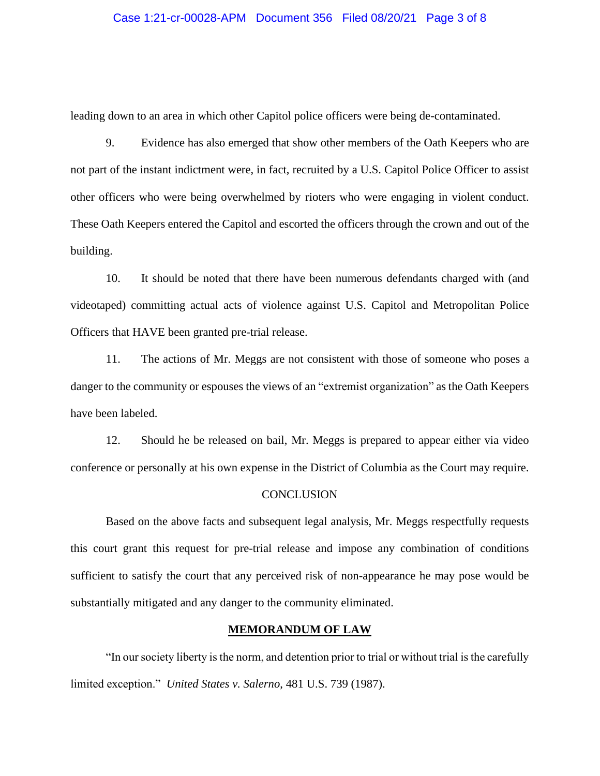#### Case 1:21-cr-00028-APM Document 356 Filed 08/20/21 Page 3 of 8

leading down to an area in which other Capitol police officers were being de-contaminated.

9. Evidence has also emerged that show other members of the Oath Keepers who are not part of the instant indictment were, in fact, recruited by a U.S. Capitol Police Officer to assist other officers who were being overwhelmed by rioters who were engaging in violent conduct. These Oath Keepers entered the Capitol and escorted the officers through the crown and out of the building.

10. It should be noted that there have been numerous defendants charged with (and videotaped) committing actual acts of violence against U.S. Capitol and Metropolitan Police Officers that HAVE been granted pre-trial release.

11. The actions of Mr. Meggs are not consistent with those of someone who poses a danger to the community or espouses the views of an "extremist organization" as the Oath Keepers have been labeled.

12. Should he be released on bail, Mr. Meggs is prepared to appear either via video conference or personally at his own expense in the District of Columbia as the Court may require.

#### **CONCLUSION**

Based on the above facts and subsequent legal analysis, Mr. Meggs respectfully requests this court grant this request for pre-trial release and impose any combination of conditions sufficient to satisfy the court that any perceived risk of non-appearance he may pose would be substantially mitigated and any danger to the community eliminated.

#### **MEMORANDUM OF LAW**

"In our society liberty is the norm, and detention prior to trial or without trial is the carefully limited exception." *United States v. Salerno*, 481 U.S. 739 (1987).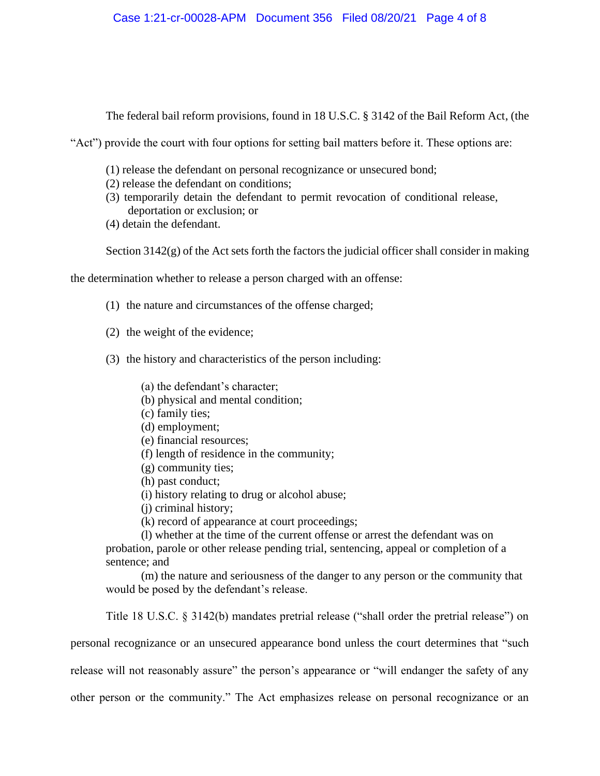The federal bail reform provisions, found in 18 U.S.C. § 3142 of the Bail Reform Act, (the

"Act") provide the court with four options for setting bail matters before it. These options are:

- (1) release the defendant on personal recognizance or unsecured bond;
- (2) release the defendant on conditions;
- (3) temporarily detain the defendant to permit revocation of conditional release, deportation or exclusion; or
- (4) detain the defendant.

Section 3142(g) of the Act sets forth the factors the judicial officer shall consider in making

the determination whether to release a person charged with an offense:

- (1) the nature and circumstances of the offense charged;
- (2) the weight of the evidence;
- (3) the history and characteristics of the person including:
	- (a) the defendant's character;
	- (b) physical and mental condition;
	- (c) family ties;
	- (d) employment;
	- (e) financial resources;
	- (f) length of residence in the community;
	- (g) community ties;
	- (h) past conduct;
	- (i) history relating to drug or alcohol abuse;
	- (j) criminal history;
	- (k) record of appearance at court proceedings;

(l) whether at the time of the current offense or arrest the defendant was on probation, parole or other release pending trial, sentencing, appeal or completion of a sentence; and

(m) the nature and seriousness of the danger to any person or the community that would be posed by the defendant's release.

Title 18 U.S.C. § 3142(b) mandates pretrial release ("shall order the pretrial release") on

personal recognizance or an unsecured appearance bond unless the court determines that "such

release will not reasonably assure" the person's appearance or "will endanger the safety of any

other person or the community." The Act emphasizes release on personal recognizance or an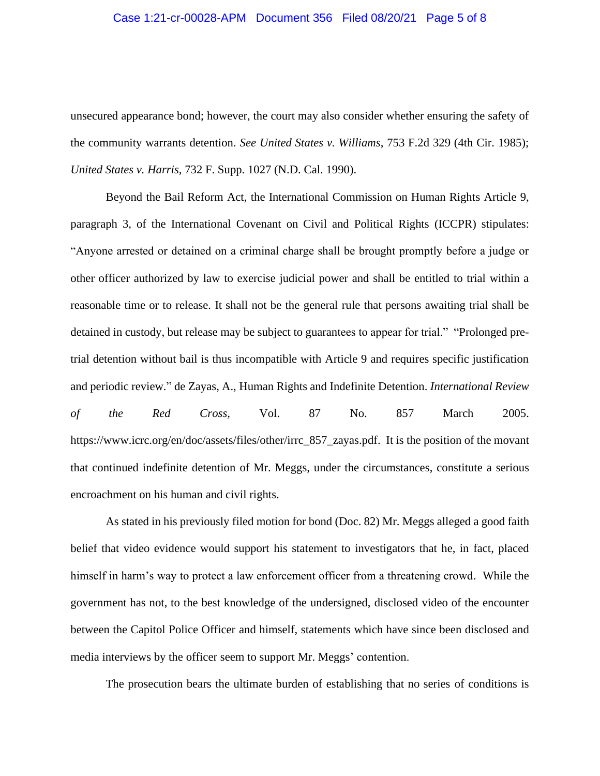#### Case 1:21-cr-00028-APM Document 356 Filed 08/20/21 Page 5 of 8

unsecured appearance bond; however, the court may also consider whether ensuring the safety of the community warrants detention. *See United States v. Williams*, 753 F.2d 329 (4th Cir. 1985); *United States v. Harris*, 732 F. Supp. 1027 (N.D. Cal. 1990).

Beyond the Bail Reform Act, the International Commission on Human Rights Article 9, paragraph 3, of the International Covenant on Civil and Political Rights (ICCPR) stipulates: "Anyone arrested or detained on a criminal charge shall be brought promptly before a judge or other officer authorized by law to exercise judicial power and shall be entitled to trial within a reasonable time or to release. It shall not be the general rule that persons awaiting trial shall be detained in custody, but release may be subject to guarantees to appear for trial." "Prolonged pretrial detention without bail is thus incompatible with Article 9 and requires specific justification and periodic review." de Zayas, A., Human Rights and Indefinite Detention. *International Review of the Red Cross,* Vol. 87 No. 857 March 2005. https://www.icrc.org/en/doc/assets/files/other/irrc\_857\_zayas.pdf. It is the position of the movant that continued indefinite detention of Mr. Meggs, under the circumstances, constitute a serious encroachment on his human and civil rights.

As stated in his previously filed motion for bond (Doc. 82) Mr. Meggs alleged a good faith belief that video evidence would support his statement to investigators that he, in fact, placed himself in harm's way to protect a law enforcement officer from a threatening crowd. While the government has not, to the best knowledge of the undersigned, disclosed video of the encounter between the Capitol Police Officer and himself, statements which have since been disclosed and media interviews by the officer seem to support Mr. Meggs' contention.

The prosecution bears the ultimate burden of establishing that no series of conditions is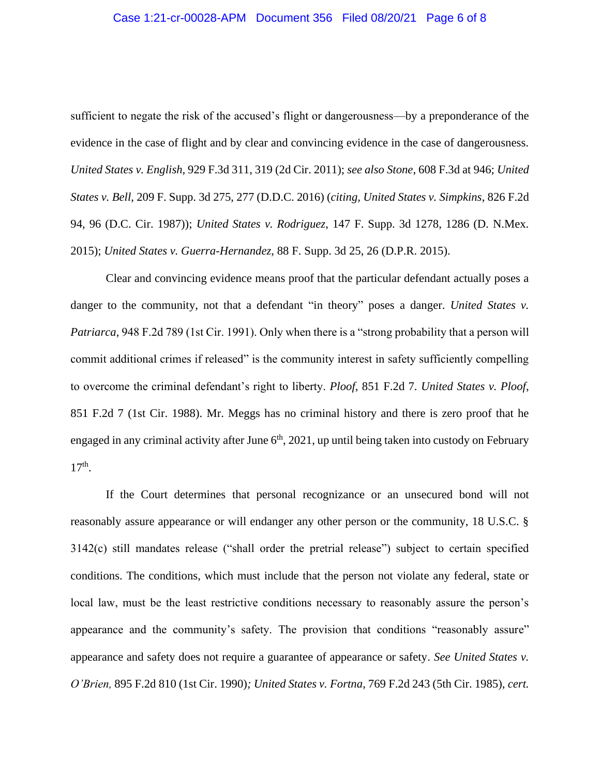#### Case 1:21-cr-00028-APM Document 356 Filed 08/20/21 Page 6 of 8

sufficient to negate the risk of the accused's flight or dangerousness—by a preponderance of the evidence in the case of flight and by clear and convincing evidence in the case of dangerousness. *United States v. English,* 929 F.3d 311, 319 (2d Cir. 2011); *see also Stone*, 608 F.3d at 946; *United States v. Bell*, 209 F. Supp. 3d 275, 277 (D.D.C. 2016) (*citing, United States v. Simpkins*, 826 F.2d 94, 96 (D.C. Cir. 1987)); *United States v. Rodriguez*, 147 F. Supp. 3d 1278, 1286 (D. N.Mex. 2015); *United States v. Guerra-Hernandez*, 88 F. Supp. 3d 25, 26 (D.P.R. 2015).

Clear and convincing evidence means proof that the particular defendant actually poses a danger to the community, not that a defendant "in theory" poses a danger. *United States v. Patriarca,* 948 F.2d 789 (1st Cir. 1991). Only when there is a "strong probability that a person will commit additional crimes if released" is the community interest in safety sufficiently compelling to overcome the criminal defendant's right to liberty. *Ploof*, 851 F.2d 7. *United States v. Ploof*, 851 F.2d 7 (1st Cir. 1988). Mr. Meggs has no criminal history and there is zero proof that he engaged in any criminal activity after June  $6<sup>th</sup>$ , 2021, up until being taken into custody on February 17th .

If the Court determines that personal recognizance or an unsecured bond will not reasonably assure appearance or will endanger any other person or the community, 18 U.S.C. § 3142(c) still mandates release ("shall order the pretrial release") subject to certain specified conditions. The conditions, which must include that the person not violate any federal, state or local law, must be the least restrictive conditions necessary to reasonably assure the person's appearance and the community's safety. The provision that conditions "reasonably assure" appearance and safety does not require a guarantee of appearance or safety. *See United States v. O'Brien,* 895 F.2d 810 (1st Cir. 1990)*; United States v. Fortna*, 769 F.2d 243 (5th Cir. 1985), *cert.*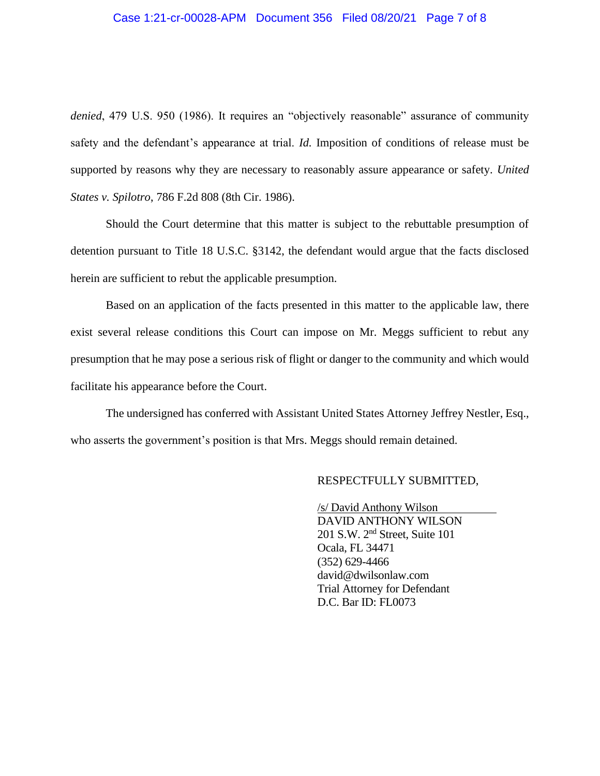#### Case 1:21-cr-00028-APM Document 356 Filed 08/20/21 Page 7 of 8

*denied*, 479 U.S. 950 (1986). It requires an "objectively reasonable" assurance of community safety and the defendant's appearance at trial. *Id.* Imposition of conditions of release must be supported by reasons why they are necessary to reasonably assure appearance or safety. *United States v. Spilotro*, 786 F.2d 808 (8th Cir. 1986).

Should the Court determine that this matter is subject to the rebuttable presumption of detention pursuant to Title 18 U.S.C. §3142, the defendant would argue that the facts disclosed herein are sufficient to rebut the applicable presumption.

Based on an application of the facts presented in this matter to the applicable law, there exist several release conditions this Court can impose on Mr. Meggs sufficient to rebut any presumption that he may pose a serious risk of flight or danger to the community and which would facilitate his appearance before the Court.

The undersigned has conferred with Assistant United States Attorney Jeffrey Nestler, Esq., who asserts the government's position is that Mrs. Meggs should remain detained.

#### RESPECTFULLY SUBMITTED,

 /s/ David Anthony Wilson DAVID ANTHONY WILSON 201 S.W. 2nd Street, Suite 101 Ocala, FL 34471 (352) 629-4466 david@dwilsonlaw.com Trial Attorney for Defendant D.C. Bar ID: FL0073